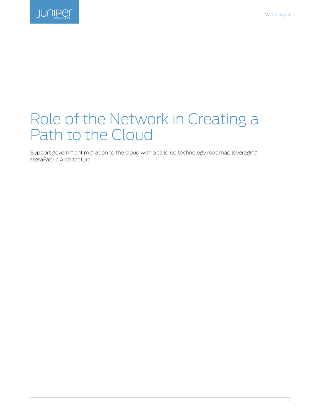

# Role of the Network in Creating a Path to the Cloud

Support government migration to the cloud with a tailored technology roadmap leveraging MetaFabric Architecture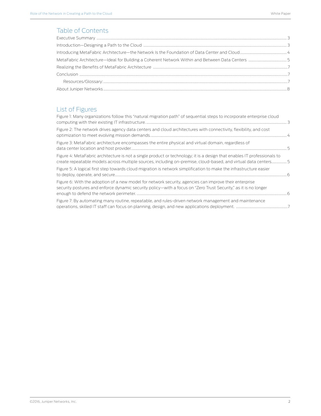# Table of Contents

# List of Figures

| Figure 1: Many organizations follow this "natural migration path" of sequential steps to incorporate enterprise cloud                                                                                                                      |  |
|--------------------------------------------------------------------------------------------------------------------------------------------------------------------------------------------------------------------------------------------|--|
| Figure 2: The network drives agency data centers and cloud architectures with connectivity, flexibility, and cost                                                                                                                          |  |
| Figure 3: MetaFabric architecture encompasses the entire physical and virtual domain, regardless of                                                                                                                                        |  |
| Figure 4: MetaFabric architecture is not a single product or technology; it is a design that enables IT professionals to<br>create repeatable models across multiple sources, including on-premise, cloud-based, and virtual data centers5 |  |
| Figure 5: A logical first step towards cloud migration is network simplification to make the infrastructure easier<br>$\sim$ 6                                                                                                             |  |
| Figure 6: With the adoption of a new model for network security, agencies can improve their enterprise<br>security postures and enforce dynamic security policy—with a focus on "Zero Trust Security," as it is no longer                  |  |
| Figure 7: By automating many routine, repeatable, and rules-driven network management and maintenance                                                                                                                                      |  |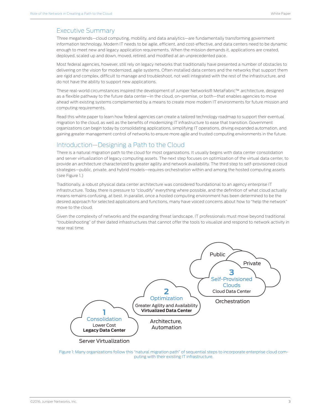#### <span id="page-2-0"></span>Executive Summary

Three megatrends—cloud computing, mobility, and data analytics—are fundamentally transforming government information technology. Modern IT needs to be agile, efficient, and cost-effective, and data centers need to be dynamic enough to meet new and legacy application requirements. When the mission demands it, applications are created, deployed, scaled up and down, moved, retired, and modified at an unprecedented pace.

Most federal agencies, however, still rely on legacy networks that traditionally have presented a number of obstacles to delivering on the vision for modernized, agile systems. Often installed data centers and the networks that support them are rigid and complex, difficult to manage and troubleshoot, not well integrated with the rest of the infrastructure, and do not have the ability to support new applications.

These real-world circumstances inspired the development of Juniper Networks® MetaFabric™ architecture, designed as a flexible pathway to the future data center—in the cloud, on-premise, or both—that enables agencies to move ahead with existing systems complemented by a means to create more modern IT environments for future mission and computing requirements.

Read this white paper to learn how federal agencies can create a tailored technology roadmap to support their eventual migration to the cloud, as well as the benefits of modernizing IT infrastructure to ease that transition. Government organizations can begin today by consolidating applications, simplifying IT operations, driving expanded automation, and gaining greater management control of networks to ensure more agile and trusted computing environments in the future.

## Introduction—Designing a Path to the Cloud

There is a natural migration path to the cloud for most organizations. It usually begins with data center consolidation and server virtualization of legacy computing assets. The next step focuses on optimization of the virtual data center, to provide an architecture characterized by greater agility and network availability. The third step to self-provisioned cloud strategies—public, private, and hybrid models—requires orchestration within and among the hosted computing assets (see Figure 1.)

Traditionally, a robust physical data center architecture was considered foundational to an agency enterprise IT infrastructure. Today, there is pressure to "cloudify" everything where possible, and the definition of what cloud actually means remains confusing, at best. In parallel, once a hosted computing environment has been determined to be the desired approach for selected applications and functions, many have voiced concerns about how to "help the network" move to the cloud.

Given the complexity of networks and the expanding threat landscape, IT professionals must move beyond traditional "troubleshooting" of their dated infrastructures that cannot offer the tools to visualize and respond to network activity in near real time.



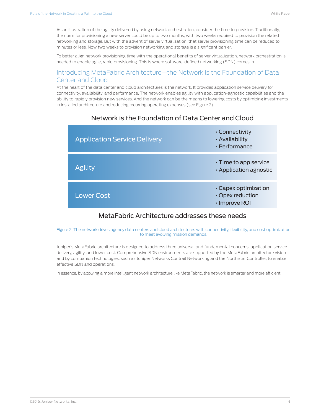<span id="page-3-0"></span>As an illustration of the agility delivered by using network orchestration, consider the time to provision. Traditionally, the norm for provisioning a new server could be up to two months, with two weeks required to provision the related networking and storage. But with the advent of server virtualization, that server provisioning time can be reduced to minutes or less. Now two weeks to provision networking and storage is a significant barrier.

To better align network provisioning time with the operational benefits of server virtualization, network orchestration is needed to enable agile, rapid provisioning. This is where software-defined networking (SDN) comes in.

### Introducing MetaFabric Architecture—the Network Is the Foundation of Data Center and Cloud

At the heart of the data center and cloud architectures is the network. It provides application service delivery for connectivity, availability, and performance. The network enables agility with application-agnostic capabilities and the ability to rapidly provision new services. And the network can be the means to lowering costs by optimizing investments in installed architecture and reducing recurring operating expenses (see Figure 2).



## Network is the Foundation of Data Center and Cloud

## MetaFabric Architecture addresses these needs

#### Figure 2: The network drives agency data centers and cloud architectures with connectivity, flexibility, and cost optimization to meet evolving mission demands.

Juniper's MetaFabric architecture is designed to address three universal and fundamental concerns: application service delivery, agility, and lower cost. Comprehensive SDN environments are supported by the MetaFabric architecture vision and by companion technologies, such as Juniper Networks Contrail Networking and the NorthStar Controller, to enable effective SDN and operations.

In essence, by applying a more intelligent network architecture like MetaFabric, the network is smarter and more efficient.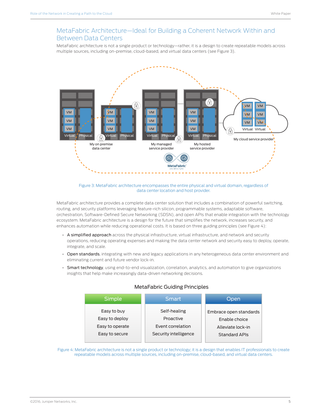## <span id="page-4-0"></span>MetaFabric Architecture—Ideal for Building a Coherent Network Within and Between Data Centers

MetaFabric architecture is not a single product or technology—rather, it is a design to create repeatable models across multiple sources, including on-premise, cloud-based, and virtual data centers (see Figure 3).



Figure 3: MetaFabric architecture encompasses the entire physical and virtual domain, regardless of data center location and host provider.

MetaFabric architecture provides a complete data center solution that includes a combination of powerful switching, routing, and security platforms leveraging feature-rich silicon, programmable systems, adaptable software, orchestration, Software-Defined Secure Networking (SDSN), and open APIs that enable integration with the technology ecosystem. MetaFabric architecture is a design for the future that simplifies the network, increases security, and enhances automation while reducing operational costs. It is based on three guiding principles (see Figure 4):

- A simplified approach across the physical infrastructure, virtual infrastructure, and network and security operations, reducing operating expenses and making the data center network and security easy to deploy, operate, integrate, and scale.
- Open standards, integrating with new and legacy applications in any heterogeneous data center environment and eliminating current and future vendor lock-in.
- Smart technology, using end-to-end visualization, correlation, analytics, and automation to give organizations insights that help make increasingly data-driven networking decisions.

| Simple          | Smart                 | Open                   |
|-----------------|-----------------------|------------------------|
| Easy to buy     | Self-healing          | Embrace open standards |
| Easy to deploy  | Proactive             | Enable choice          |
| Easy to operate | Event correlation     | Alleviate lock-in      |
| Easy to secure  | Security intelligence | <b>Standard APIs</b>   |

#### MetaFabric Guiding Principles

Figure 4: MetaFabric architecture is not a single product or technology; it is a design that enables IT professionals to create repeatable models across multiple sources, including on-premise, cloud-based, and virtual data centers.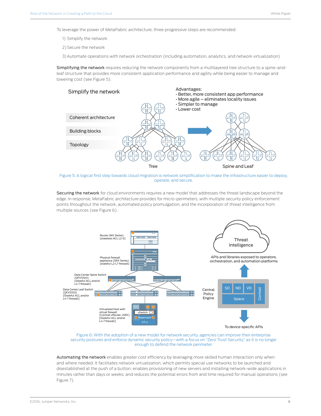<span id="page-5-0"></span>To leverage the power of MetaFabric architecture, three progressive steps are recommended:

- 1) Simplify the network
- 2) Secure the network
- 3)Automate operations with network orchestration (including automation, analytics, and network virtualization)

Simplifying the network requires reducing the network components from a multilayered tree structure to a spine-andleaf structure that provides more consistent application performance and agility while being easier to manage and lowering cost (see Figure 5).



Figure 5: A logical first step towards cloud migration is network simplification to make the infrastructure easier to deploy, operate, and secure.

Securing the network for cloud environments requires a new model that addresses the threat landscape beyond the edge. In response, MetaFabric architecture provides for micro-perimeters, with multiple security policy enforcement points throughout the network, automated policy promulgation, and the incorporation of threat intelligence from multiple sources (see Figure 6).



Figure 6: With the adoption of a new model for network security, agencies can improve their enterprise security postures and enforce dynamic security policy—with a focus on "Zero Trust Security," as it is no longer enough to defend the network perimeter.

Automating the network enables greater cost efficiency by leveraging more skilled human interaction only when and where needed. It facilitates network virtualization, which permits special use networks to be launched and disestablished at the push of a button; enables provisioning of new servers and installing network-wide applications in minutes rather than days or weeks; and reduces the potential errors from and time required for manual operations (see Figure 7).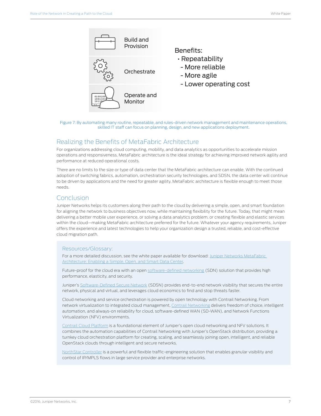<span id="page-6-0"></span>

#### Figure 7: By automating many routine, repeatable, and rules-driven network management and maintenance operations, skilled IT staff can focus on planning, design, and new applications deployment.

#### Realizing the Benefits of MetaFabric Architecture

For organizations addressing cloud computing, mobility, and data analytics as opportunities to accelerate mission operations and responsiveness, MetaFabric architecture is the ideal strategy for achieving improved network agility and performance at reduced operational costs.

There are no limits to the size or type of data center that the MetaFabric architecture can enable. With the continued adoption of switching fabrics, automation, orchestration security technologies, and SDSN, the data center will continue to be driven by applications and the need for greater agility. MetaFabric architecture is flexible enough to meet those needs.

#### Conclusion

Juniper Networks helps its customers along their path to the cloud by delivering a simple, open, and smart foundation for aligning the network to business objectives now, while maintaining flexibility for the future. Today, that might mean delivering a better mobile user experience, or solving a data analytics problem, or creating flexible and elastic services within the cloud—making MetaFabric architecture preferred for the future. Whatever your agency requirements, Juniper offers the experience and latest technologies to help your organization design a trusted, reliable, and cost-effective cloud migration path.

#### Resources/Glossary:

For a more detailed discussion, see the white paper available for download: Juniper Networks MetaFabric [Architecture: Enabling a Simple, Open, and Smart Data Center](https://www.juniper.net/us/en/local/pdf/whitepapers/2000539-en.pdf).

Future-proof for the cloud era with an open [software-defined networking](http://www.juniper.net/us/en/products-services/sdn/) (SDN) solution that provides high performance, elasticity, and security.

Juniper's [Software-Defined Secure Network](http://www.juniper.net/us/en/solutions/software-defined-secure-networks/) (SDSN) provides end-to-end network visibility that secures the entire network, physical and virtual, and leverages cloud economics to find and stop threats faster.

Cloud networking and service orchestration is powered by open technology with Contrail Networking. From network virtualization to integrated cloud management, [Contrail Networking](http://www.juniper.net/us/en/products-services/sdn/contrail/) delivers freedom of choice, intelligent automation, and always-on reliability for cloud, software-defined WAN (SD-WAN), and Network Functions Virtualization (NFV) environments.

[Contrail Cloud Platform](http://www.juniper.net/us/en/products-services/sdn/contrail/contrail-cloud/) is a foundational element of Juniper's open cloud networking and NFV solutions. It combines the automation capabilities of Contrail Networking with Juniper's OpenStack distribution, providing a turnkey cloud orchestration platform for creating, scaling, and seamlessly joining open, intelligent, and reliable OpenStack clouds through intelligent and secure networks.

[NorthStar Controller](https://www.juniper.net/assets/us/en/local/pdf/datasheets/1000494-en.pdf) is a powerful and flexible traffic-engineering solution that enables granular visibility and control of IP/MPLS flows in large service provider and enterprise networks.